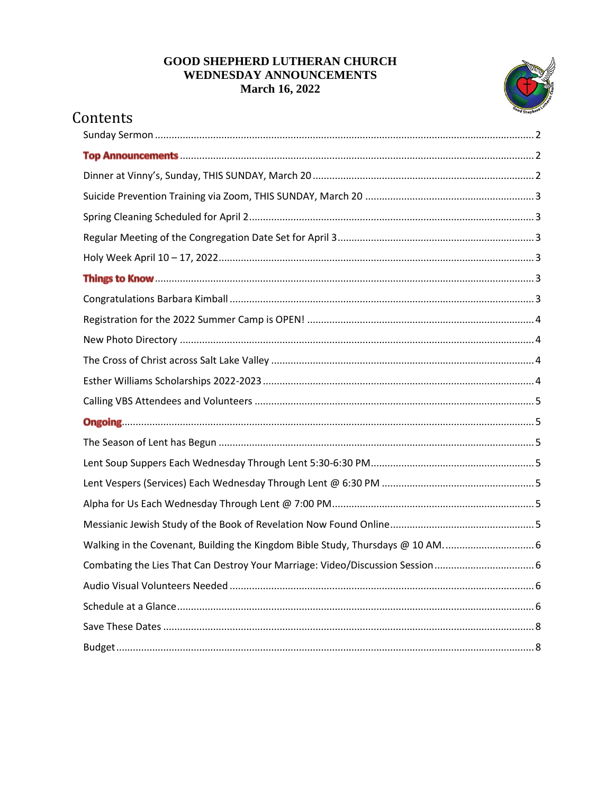### **GOOD SHEPHERD LUTHERAN CHURCH** WEDNESDAY ANNOUNCEMENTS **March 16, 2022**



# Contents

| Walking in the Covenant, Building the Kingdom Bible Study, Thursdays @ 10 AM 6 |
|--------------------------------------------------------------------------------|
|                                                                                |
|                                                                                |
|                                                                                |
|                                                                                |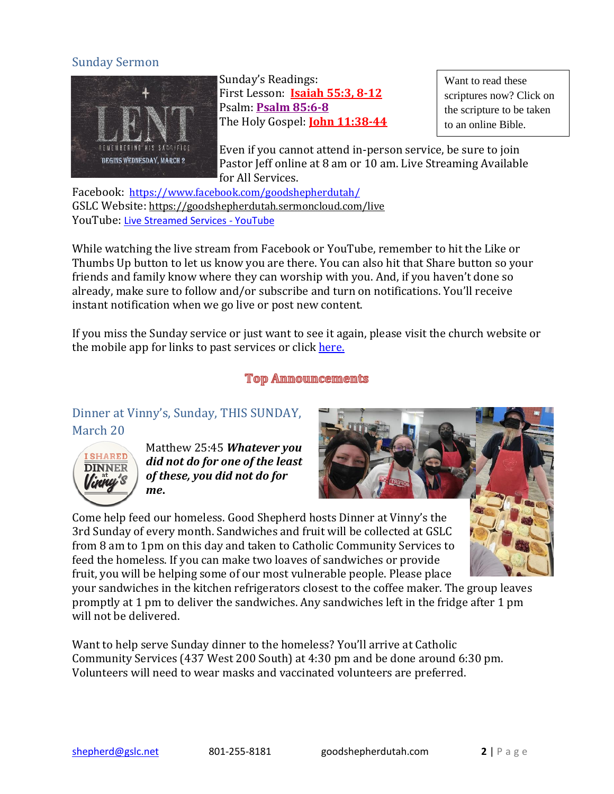### <span id="page-1-0"></span>Sunday Sermon



Sunday's Readings: First Lesson: **[Isaiah 55:3, 8-12](https://www.bible.com/bible/111/isa.55.3-12)** Psalm: **[Psalm 85:6-8](https://www.bible.com/bible/111/PSA.85.6-8.NIV)** The Holy Gospel: **[John 11:38-44](https://www.bible.com/bible/114/jhn.11.38-44.NIV)**

Want to read these scriptures now? Click on the scripture to be taken to an online Bible.

Even if you cannot attend in-person service, be sure to join Pastor Jeff online at 8 am or 10 am. Live Streaming Available for All Services.

Facebook: <https://www.facebook.com/goodshepherdutah/> GSLC Website: <https://goodshepherdutah.sermoncloud.com/live> YouTube: [Live Streamed Services -](https://www.youtube.com/playlist?list=PL3uHy86kZK2lvEyxDRxlMAf-270bivhOr) YouTube

While watching the live stream from Facebook or YouTube, remember to hit the Like or Thumbs Up button to let us know you are there. You can also hit that Share button so your friends and family know where they can worship with you. And, if you haven't done so already, make sure to follow and/or subscribe and turn on notifications. You'll receive instant notification when we go live or post new content.

If you miss the Sunday service or just want to see it again, please visit the church website or the mobile app for links to past services or click [here.](https://www.goodshepherdutah.com/pastlivestreams)

**Top Announcements** 

# <span id="page-1-2"></span><span id="page-1-1"></span>Dinner at Vinny's, Sunday, THIS SUNDAY, March 20



Matthew 25:45 *Whatever you did not do for one of the least of these, you did not do for me***.**



Come help feed our homeless. Good Shepherd hosts Dinner at Vinny's the 3rd Sunday of every month. Sandwiches and fruit will be collected at GSLC from 8 am to 1pm on this day and taken to Catholic Community Services to feed the homeless. If you can make two loaves of sandwiches or provide fruit, you will be helping some of our most vulnerable people. Please place

your sandwiches in the kitchen refrigerators closest to the coffee maker. The group leaves promptly at 1 pm to deliver the sandwiches. Any sandwiches left in the fridge after 1 pm will not be delivered.

Want to help serve Sunday dinner to the homeless? You'll arrive at [Catholic](https://www.ccsutah.org/about-us)  [Community](https://www.ccsutah.org/about-us) Services (437 West 200 South) at 4:30 pm and be done around 6:30 pm. Volunteers will need to wear masks and vaccinated volunteers are preferred.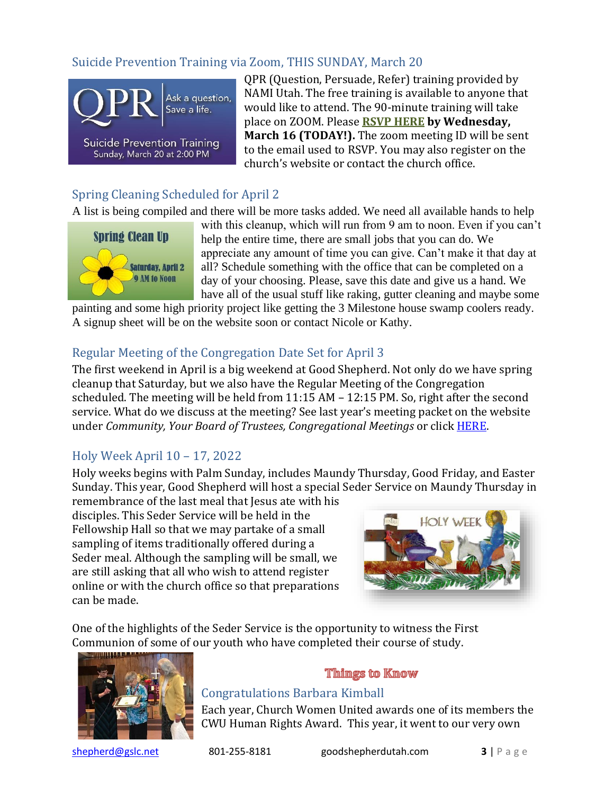# <span id="page-2-0"></span>Suicide Prevention Training via Zoom, THIS SUNDAY, March 20



QPR (Question, Persuade, Refer) training provided by NAMI Utah. The free training is available to anyone that would like to attend. The 90-minute training will take place on ZOOM. Please **[RSVP HERE](https://forms.gle/mcQELj9XhAce9Bo76) by Wednesday, March 16 (TODAY!).** The zoom meeting ID will be sent to the email used to RSVP. You may also register on the church's website or contact the church office.

# <span id="page-2-1"></span>Spring Cleaning Scheduled for April 2

A list is being compiled and there will be more tasks added. We need all available hands to help



with this cleanup, which will run from 9 am to noon. Even if you can't help the entire time, there are small jobs that you can do. We appreciate any amount of time you can give. Can't make it that day at all? Schedule something with the office that can be completed on a day of your choosing. Please, save this date and give us a hand. We have all of the usual stuff like raking, gutter cleaning and maybe some

painting and some high priority project like getting the 3 Milestone house swamp coolers ready. A signup sheet will be on the website soon or contact Nicole or Kathy.

## <span id="page-2-2"></span>Regular Meeting of the Congregation Date Set for April 3

The first weekend in April is a big weekend at Good Shepherd. Not only do we have spring cleanup that Saturday, but we also have the Regular Meeting of the Congregation scheduled. The meeting will be held from 11:15 AM – 12:15 PM. So, right after the second service. What do we discuss at the meeting? See last year's meeting packet on the website under *Community, Your Board of Trustees, Congregational Meetings* or click [HERE.](https://www.goodshepherdutah.com/congregational-meetings)

# <span id="page-2-3"></span>Holy Week April 10 – 17, 2022

Holy weeks begins with Palm Sunday, includes Maundy Thursday, Good Friday, and Easter Sunday. This year, Good Shepherd will host a special Seder Service on Maundy Thursday in

remembrance of the last meal that Jesus ate with his disciples. This Seder Service will be held in the Fellowship Hall so that we may partake of a small sampling of items traditionally offered during a Seder meal. Although the sampling will be small, we are still asking that all who wish to attend register online or with the church office so that preparations can be made.



One of the highlights of the Seder Service is the opportunity to witness the First Communion of some of our youth who have completed their course of study.



#### **Things to Know**

### <span id="page-2-5"></span><span id="page-2-4"></span>Congratulations Barbara Kimball

Each year, Church Women United awards one of its members the CWU Human Rights Award. This year, it went to our very own

[shepherd@gslc.net](mailto:shepherd@gslc.net) 801-255-8181 goodshepherdutah.com **3** | P a g e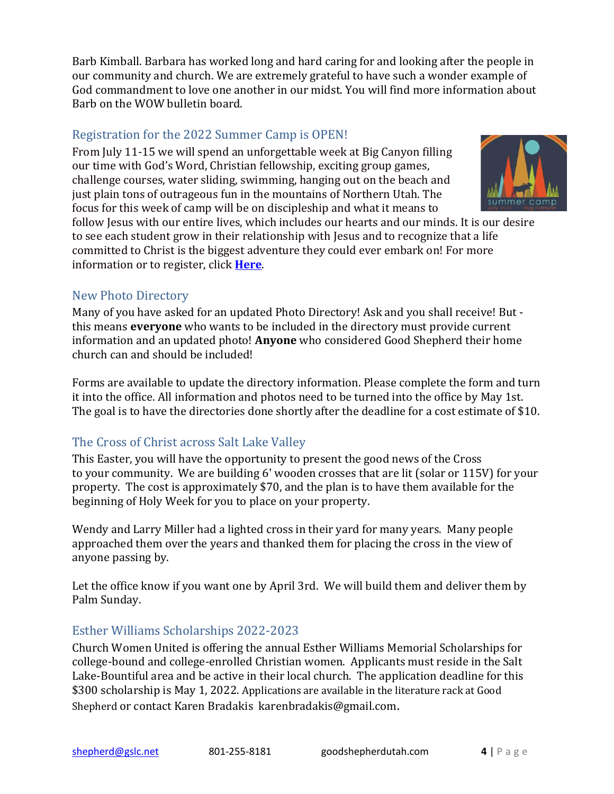Barb Kimball. Barbara has worked long and hard caring for and looking after the people in our community and church. We are extremely grateful to have such a wonder example of God commandment to love one another in our midst. You will find more information about Barb on the WOW bulletin board.

#### <span id="page-3-0"></span>Registration for the 2022 Summer Camp is OPEN!

From July 11-15 we will spend an unforgettable week at Big Canyon filling our time with God's Word, Christian fellowship, exciting group games, challenge courses, water sliding, swimming, hanging out on the beach and just plain tons of outrageous fun in the mountains of Northern Utah. The focus for this week of camp will be on discipleship and what it means to



follow Jesus with our entire lives, which includes our hearts and our minds. It is our desire to see each student grow in their relationship with Jesus and to recognize that a life committed to Christ is the biggest adventure they could ever embark on! For more information or to register, click **[Here](https://familyministry.goodshepherdutah.com/youth-ministry/summercamp2022/)**.

### <span id="page-3-1"></span>New Photo Directory

Many of you have asked for an updated Photo Directory! Ask and you shall receive! But this means **everyone** who wants to be included in the directory must provide current information and an updated photo! **Anyone** who considered Good Shepherd their home church can and should be included!

Forms are available to update the directory information. Please complete the form and turn it into the office. All information and photos need to be turned into the office by May 1st. The goal is to have the directories done shortly after the deadline for a cost estimate of \$10.

# <span id="page-3-2"></span>The Cross of Christ across Salt Lake Valley

This Easter, you will have the opportunity to present the good news of the Cross to your community. We are building 6' wooden crosses that are lit (solar or 115V) for your property. The cost is approximately \$70, and the plan is to have them available for the beginning of Holy Week for you to place on your property.

Wendy and Larry Miller had a lighted cross in their yard for many years. Many people approached them over the years and thanked them for placing the cross in the view of anyone passing by.

Let the office know if you want one by April 3rd. We will build them and deliver them by Palm Sunday.

# <span id="page-3-3"></span>Esther Williams Scholarships 2022-2023

Church Women United is offering the annual Esther Williams Memorial Scholarships for college-bound and college-enrolled Christian women. Applicants must reside in the Salt Lake-Bountiful area and be active in their local church. The application deadline for this \$300 scholarship is May 1, 2022. Applications are available in the literature rack at Good Shepherd or contact Karen Bradakis [karenbradakis@gmail.com](mailto:karenbradakis@gmail.com).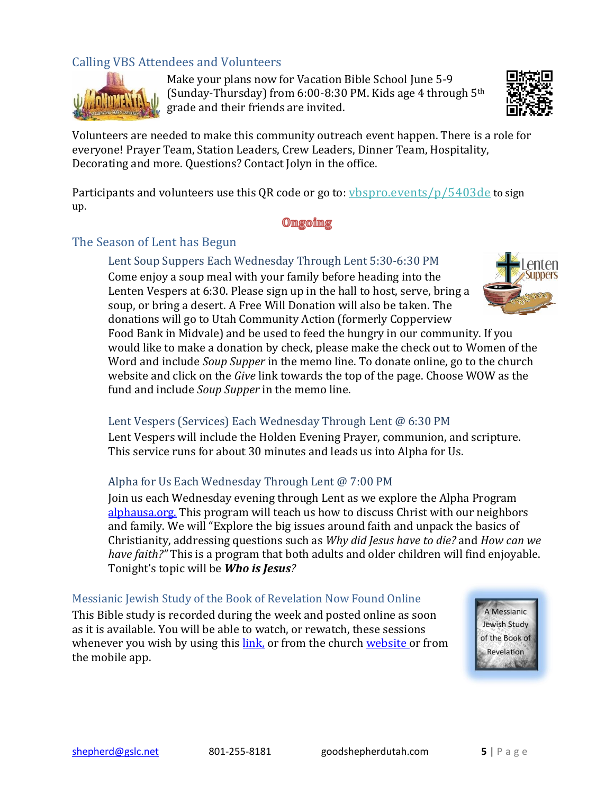# <span id="page-4-0"></span>Calling VBS Attendees and Volunteers



Make your plans now for Vacation Bible School June 5-9 (Sunday-Thursday) from  $6:00-8:30$  PM. Kids age 4 through  $5<sup>th</sup>$ grade and their friends are invited.



Volunteers are needed to make this community outreach event happen. There is a role for everyone! Prayer Team, Station Leaders, Crew Leaders, Dinner Team, Hospitality, Decorating and more. Questions? Contact Jolyn in the office.

Participants and volunteers use this QR code or go to: *ybspro.events/p/5403de* to sign up.

#### Omgoimg

#### <span id="page-4-3"></span><span id="page-4-2"></span><span id="page-4-1"></span>The Season of Lent has Begun

Lent Soup Suppers Each Wednesday Through Lent 5:30-6:30 PM Come enjoy a soup meal with your family before heading into the Lenten Vespers at 6:30. Please sign up in the hall to host, serve, bring a soup, or bring a desert. A Free Will Donation will also be taken. The donations will go to Utah Community Action (formerly Copperview



Food Bank in Midvale) and be used to feed the hungry in our community. If you would like to make a donation by check, please make the check out to Women of the Word and include *Soup Supper* in the memo line. To donate online, go to the church website and click on the *Give* link towards the top of the page. Choose WOW as the fund and include *Soup Supper* in the memo line.

#### <span id="page-4-4"></span>Lent Vespers (Services) Each Wednesday Through Lent @ 6:30 PM

Lent Vespers will include the Holden Evening Prayer, communion, and scripture. This service runs for about 30 minutes and leads us into Alpha for Us.

#### <span id="page-4-5"></span>Alpha for Us Each Wednesday Through Lent @ 7:00 PM

Join us each Wednesday evening through Lent as we explore the Alpha Program [alphausa.org.](https://alphausa.org/) This program will teach us how to discuss Christ with our neighbors and family. We will "Explore the big issues around faith and unpack the basics of Christianity, addressing questions such as *Why did Jesus have to die?* and *How can we have faith?"* This is a program that both adults and older children will find enjoyable. Tonight's topic will be *Who is Jesus?*

#### <span id="page-4-6"></span>Messianic Jewish Study of the Book of Revelation Now Found Online

This Bible study is recorded during the week and posted online as soon as it is available. You will be able to watch, or rewatch, these sessions whenever you wish by using this [link,](https://youtube.com/playlist?list=PL3uHy86kZK2mQUEwK-yn6Ev4fwQCASbRQ) or from the church [website](https://goodshepherdutah.com/) or from the mobile app.

A Messianic Jewish Study of the Book of Revelation **CONTROL**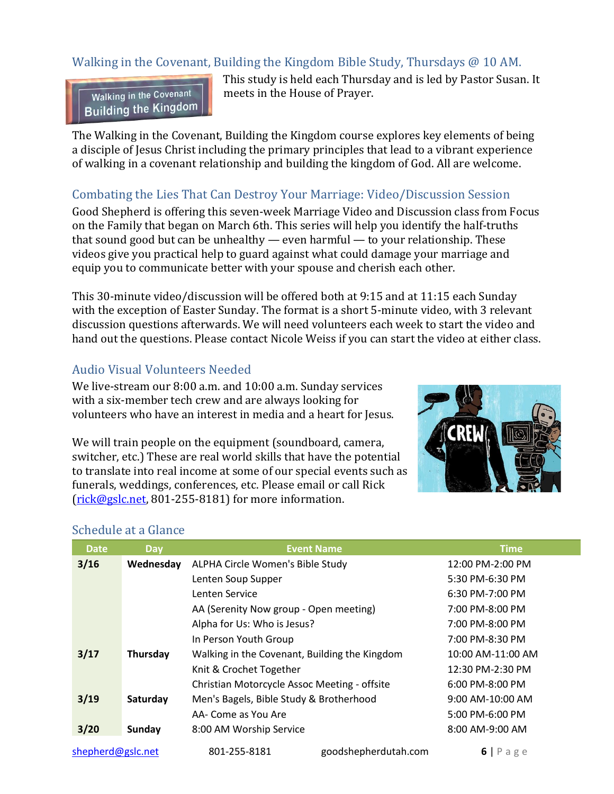# <span id="page-5-0"></span>Walking in the Covenant, Building the Kingdom Bible Study, Thursdays @ 10 AM.

Walking in the Covenant **Building the Kingdom**  This study is held each Thursday and is led by Pastor Susan. It meets in the House of Prayer.

The Walking in the Covenant, Building the Kingdom course explores key elements of being a disciple of Jesus Christ including the primary principles that lead to a vibrant experience of walking in a covenant relationship and building the kingdom of God. All are welcome.

### <span id="page-5-1"></span>Combating the Lies That Can Destroy Your Marriage: Video/Discussion Session

Good Shepherd is offering this seven-week Marriage Video and Discussion class from Focus on the Family that began on March 6th. This series will help you identify the half-truths that sound good but can be unhealthy — even harmful — to your relationship. These videos give you practical help to guard against what could damage your marriage and equip you to communicate better with your spouse and cherish each other.

This 30-minute video/discussion will be offered both at 9:15 and at 11:15 each Sunday with the exception of Easter Sunday. The format is a short 5-minute video, with 3 relevant discussion questions afterwards. We will need volunteers each week to start the video and hand out the questions. Please contact Nicole Weiss if you can start the video at either class.

## <span id="page-5-2"></span>Audio Visual Volunteers Needed

We live-stream our 8:00 a.m. and 10:00 a.m. Sunday services with a six-member tech crew and are always looking for volunteers who have an interest in media and a heart for Jesus.

We will train people on the equipment (soundboard, camera, switcher, etc.) These are real world skills that have the potential to translate into real income at some of our special events such as funerals, weddings, conferences, etc. Please email or call Rick [\(rick@gslc.net,](mailto:rick@gslc.net) 801-255-8181) for more information.



# [shepherd@gslc.net](mailto:shepherd@gslc.net) 801-255-8181 goodshepherdutah.com **6** | P a g e **Date Day Event Name Time 3/16 Wednesday** ALPHA Circle Women's Bible Study 12:00 PM-2:00 PM Lenten Soup Supper 5:30 PM-6:30 PM Lenten Service 6:30 PM-7:00 PM AA (Serenity Now group - Open meeting) 7:00 PM-8:00 PM Alpha for Us: Who is Jesus? 7:00 PM-8:00 PM In Person Youth Group 7:00 PM-8:30 PM **3/17 Thursday** Walking in the Covenant, Building the Kingdom 10:00 AM-11:00 AM Knit & Crochet Together 12:30 PM-2:30 PM Christian Motorcycle Assoc Meeting - offsite 6:00 PM-8:00 PM **3/19 Saturday** Men's Bagels, Bible Study & Brotherhood 9:00 AM-10:00 AM AA- Come as You Are 5:00 PM-6:00 PM **3/20 Sunday** 8:00 AM Worship Service 8:00 AM 8:00 AM-9:00 AM

#### <span id="page-5-3"></span>Schedule at a Glance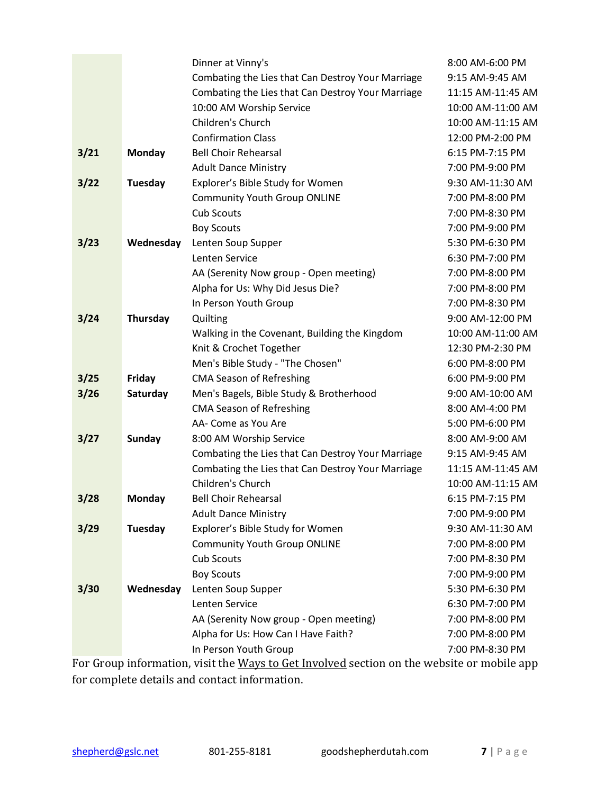|                                                                                            |               | Dinner at Vinny's                                 | 8:00 AM-6:00 PM   |  |
|--------------------------------------------------------------------------------------------|---------------|---------------------------------------------------|-------------------|--|
|                                                                                            |               | Combating the Lies that Can Destroy Your Marriage | 9:15 AM-9:45 AM   |  |
|                                                                                            |               | Combating the Lies that Can Destroy Your Marriage | 11:15 AM-11:45 AM |  |
|                                                                                            |               | 10:00 AM Worship Service                          | 10:00 AM-11:00 AM |  |
|                                                                                            |               | Children's Church                                 | 10:00 AM-11:15 AM |  |
|                                                                                            |               | <b>Confirmation Class</b>                         | 12:00 PM-2:00 PM  |  |
| 3/21                                                                                       | Monday        | <b>Bell Choir Rehearsal</b>                       | 6:15 PM-7:15 PM   |  |
|                                                                                            |               | <b>Adult Dance Ministry</b>                       | 7:00 PM-9:00 PM   |  |
| 3/22                                                                                       | Tuesday       | Explorer's Bible Study for Women                  | 9:30 AM-11:30 AM  |  |
|                                                                                            |               | <b>Community Youth Group ONLINE</b>               | 7:00 PM-8:00 PM   |  |
|                                                                                            |               | <b>Cub Scouts</b>                                 | 7:00 PM-8:30 PM   |  |
|                                                                                            |               | <b>Boy Scouts</b>                                 | 7:00 PM-9:00 PM   |  |
| 3/23                                                                                       | Wednesday     | Lenten Soup Supper                                | 5:30 PM-6:30 PM   |  |
|                                                                                            |               | Lenten Service                                    | 6:30 PM-7:00 PM   |  |
|                                                                                            |               | AA (Serenity Now group - Open meeting)            | 7:00 PM-8:00 PM   |  |
|                                                                                            |               | Alpha for Us: Why Did Jesus Die?                  | 7:00 PM-8:00 PM   |  |
|                                                                                            |               | In Person Youth Group                             | 7:00 PM-8:30 PM   |  |
| 3/24                                                                                       | Thursday      | Quilting                                          | 9:00 AM-12:00 PM  |  |
|                                                                                            |               | Walking in the Covenant, Building the Kingdom     | 10:00 AM-11:00 AM |  |
|                                                                                            |               | Knit & Crochet Together                           | 12:30 PM-2:30 PM  |  |
|                                                                                            |               | Men's Bible Study - "The Chosen"                  | 6:00 PM-8:00 PM   |  |
| 3/25                                                                                       | Friday        | <b>CMA Season of Refreshing</b>                   | 6:00 PM-9:00 PM   |  |
| 3/26                                                                                       | Saturday      | Men's Bagels, Bible Study & Brotherhood           | 9:00 AM-10:00 AM  |  |
|                                                                                            |               | <b>CMA Season of Refreshing</b>                   | 8:00 AM-4:00 PM   |  |
|                                                                                            |               | AA- Come as You Are                               | 5:00 PM-6:00 PM   |  |
| 3/27                                                                                       | <b>Sunday</b> | 8:00 AM Worship Service                           | 8:00 AM-9:00 AM   |  |
|                                                                                            |               | Combating the Lies that Can Destroy Your Marriage | 9:15 AM-9:45 AM   |  |
|                                                                                            |               | Combating the Lies that Can Destroy Your Marriage | 11:15 AM-11:45 AM |  |
|                                                                                            |               | Children's Church                                 | 10:00 AM-11:15 AM |  |
| 3/28                                                                                       | Monday        | <b>Bell Choir Rehearsal</b>                       | 6:15 PM-7:15 PM   |  |
|                                                                                            |               | <b>Adult Dance Ministry</b>                       | 7:00 PM-9:00 PM   |  |
| 3/29                                                                                       | Tuesday       | Explorer's Bible Study for Women                  | 9:30 AM-11:30 AM  |  |
|                                                                                            |               | <b>Community Youth Group ONLINE</b>               | 7:00 PM-8:00 PM   |  |
|                                                                                            |               | Cub Scouts                                        | 7:00 PM-8:30 PM   |  |
|                                                                                            |               | <b>Boy Scouts</b>                                 | 7:00 PM-9:00 PM   |  |
| 3/30                                                                                       | Wednesday     | Lenten Soup Supper                                | 5:30 PM-6:30 PM   |  |
|                                                                                            |               | Lenten Service                                    | 6:30 PM-7:00 PM   |  |
|                                                                                            |               | AA (Serenity Now group - Open meeting)            | 7:00 PM-8:00 PM   |  |
|                                                                                            |               | Alpha for Us: How Can I Have Faith?               | 7:00 PM-8:00 PM   |  |
|                                                                                            |               | In Person Youth Group                             | 7:00 PM-8:30 PM   |  |
| For Group information, visit the Ways to Get Involved section on the website or mobile app |               |                                                   |                   |  |

for complete details and contact information.